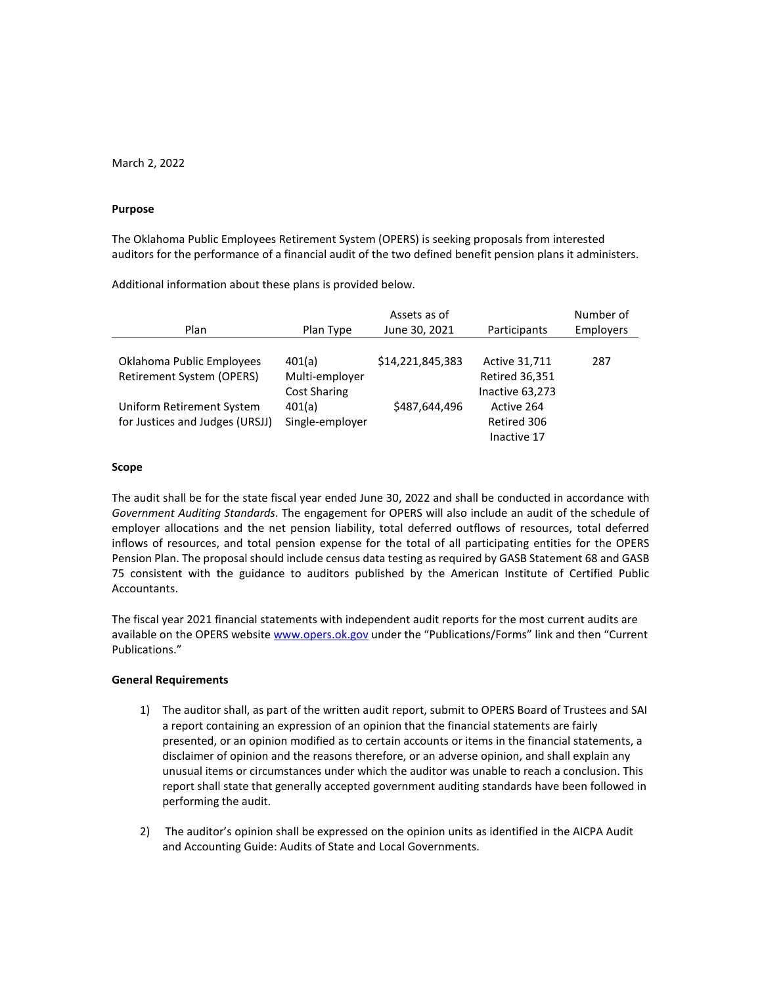March 2, 2022

#### **Purpose**

The Oklahoma Public Employees Retirement System (OPERS) is seeking proposals from interested auditors for the performance of a financial audit of the two defined benefit pension plans it administers.

Additional information about these plans is provided below.

|                                 | Assets as of        |                  |                       | Number of        |  |
|---------------------------------|---------------------|------------------|-----------------------|------------------|--|
| Plan                            | Plan Type           | June 30, 2021    | Participants          | <b>Employers</b> |  |
|                                 |                     |                  |                       |                  |  |
| Oklahoma Public Employees       | 401(a)              | \$14,221,845,383 | <b>Active 31,711</b>  | 287              |  |
| Retirement System (OPERS)       | Multi-employer      |                  | <b>Retired 36,351</b> |                  |  |
|                                 | <b>Cost Sharing</b> |                  | Inactive 63,273       |                  |  |
| Uniform Retirement System       | 401(a)              | \$487,644,496    | Active 264            |                  |  |
| for Justices and Judges (URSJJ) | Single-employer     |                  | Retired 306           |                  |  |
|                                 |                     |                  | Inactive 17           |                  |  |

#### **Scope**

The audit shall be for the state fiscal year ended June 30, 2022 and shall be conducted in accordance with *Government Auditing Standards*. The engagement for OPERS will also include an audit of the schedule of employer allocations and the net pension liability, total deferred outflows of resources, total deferred inflows of resources, and total pension expense for the total of all participating entities for the OPERS Pension Plan. The proposal should include census data testing as required by GASB Statement 68 and GASB 75 consistent with the guidance to auditors published by the American Institute of Certified Public Accountants.

The fiscal year 2021 financial statements with independent audit reports for the most current audits are available on the OPERS website [www.opers.ok.gov](http://www.opers.ok.gov/) under the "Publications/Forms" link and then "Current Publications."

## **General Requirements**

- 1) The auditor shall, as part of the written audit report, submit to OPERS Board of Trustees and SAI a report containing an expression of an opinion that the financial statements are fairly presented, or an opinion modified as to certain accounts or items in the financial statements, a disclaimer of opinion and the reasons therefore, or an adverse opinion, and shall explain any unusual items or circumstances under which the auditor was unable to reach a conclusion. This report shall state that generally accepted government auditing standards have been followed in performing the audit.
- 2) The auditor's opinion shall be expressed on the opinion units as identified in the AICPA Audit and Accounting Guide: Audits of State and Local Governments.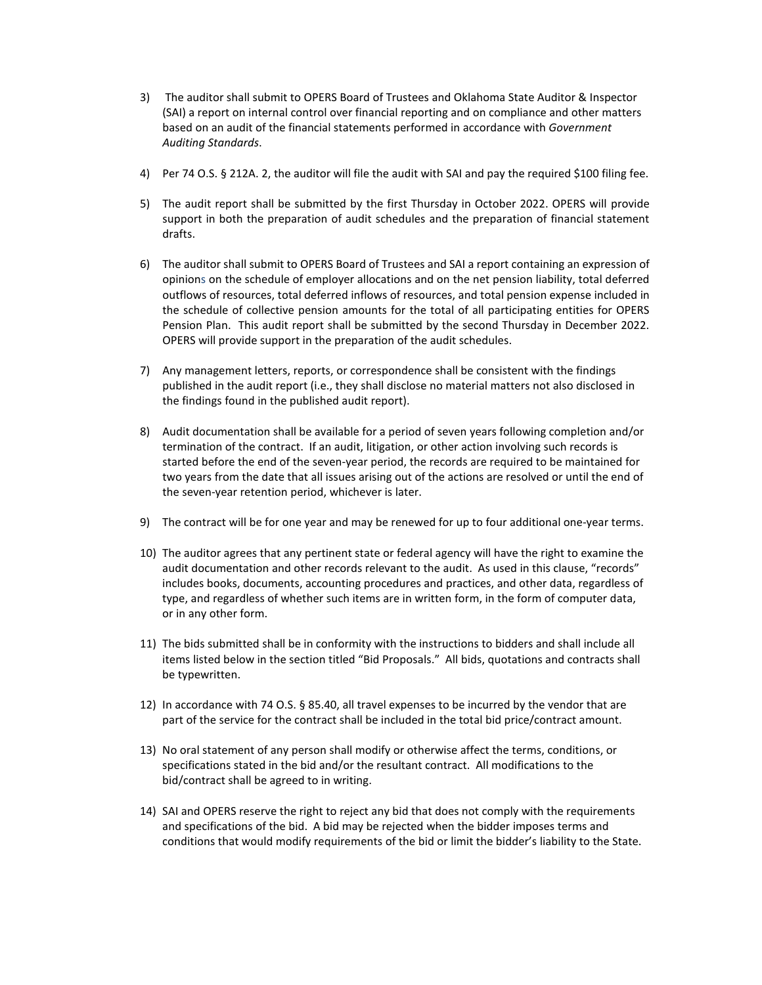- 3) The auditor shall submit to OPERS Board of Trustees and Oklahoma State Auditor & Inspector (SAI) a report on internal control over financial reporting and on compliance and other matters based on an audit of the financial statements performed in accordance with *Government Auditing Standards*.
- 4) Per 74 O.S. § 212A. 2, the auditor will file the audit with SAI and pay the required \$100 filing fee.
- 5) The audit report shall be submitted by the first Thursday in October 2022. OPERS will provide support in both the preparation of audit schedules and the preparation of financial statement drafts.
- 6) The auditor shall submit to OPERS Board of Trustees and SAI a report containing an expression of opinions on the schedule of employer allocations and on the net pension liability, total deferred outflows of resources, total deferred inflows of resources, and total pension expense included in the schedule of collective pension amounts for the total of all participating entities for OPERS Pension Plan. This audit report shall be submitted by the second Thursday in December 2022. OPERS will provide support in the preparation of the audit schedules.
- 7) Any management letters, reports, or correspondence shall be consistent with the findings published in the audit report (i.e., they shall disclose no material matters not also disclosed in the findings found in the published audit report).
- 8) Audit documentation shall be available for a period of seven years following completion and/or termination of the contract. If an audit, litigation, or other action involving such records is started before the end of the seven-year period, the records are required to be maintained for two years from the date that all issues arising out of the actions are resolved or until the end of the seven-year retention period, whichever is later.
- 9) The contract will be for one year and may be renewed for up to four additional one-year terms.
- 10) The auditor agrees that any pertinent state or federal agency will have the right to examine the audit documentation and other records relevant to the audit. As used in this clause, "records" includes books, documents, accounting procedures and practices, and other data, regardless of type, and regardless of whether such items are in written form, in the form of computer data, or in any other form.
- 11) The bids submitted shall be in conformity with the instructions to bidders and shall include all items listed below in the section titled "Bid Proposals." All bids, quotations and contracts shall be typewritten.
- 12) In accordance with 74 O.S. § 85.40, all travel expenses to be incurred by the vendor that are part of the service for the contract shall be included in the total bid price/contract amount.
- 13) No oral statement of any person shall modify or otherwise affect the terms, conditions, or specifications stated in the bid and/or the resultant contract. All modifications to the bid/contract shall be agreed to in writing.
- 14) SAI and OPERS reserve the right to reject any bid that does not comply with the requirements and specifications of the bid. A bid may be rejected when the bidder imposes terms and conditions that would modify requirements of the bid or limit the bidder's liability to the State.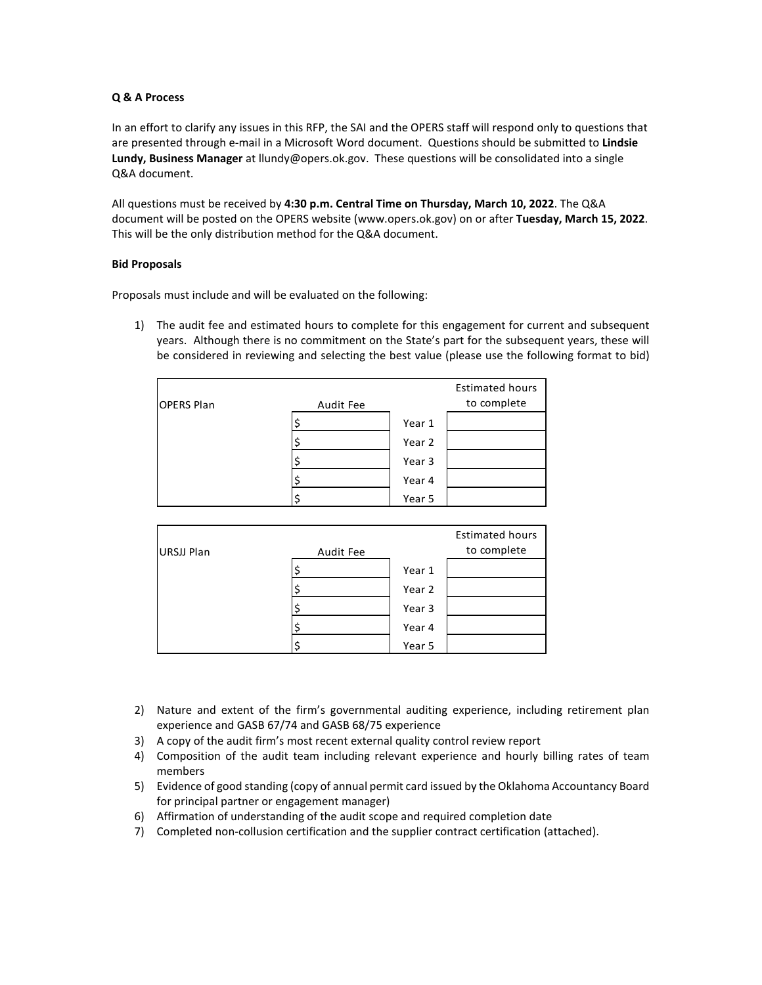# **Q & A Process**

In an effort to clarify any issues in this RFP, the SAI and the OPERS staff will respond only to questions that are presented through e-mail in a Microsoft Word document. Questions should be submitted to **Lindsie Lundy, Business Manager** at llundy@opers.ok.gov. These questions will be consolidated into a single Q&A document.

All questions must be received by **4:30 p.m. Central Time on Thursday, March 10, 2022**. The Q&A document will be posted on the OPERS website (www.opers.ok.gov) on or after **Tuesday, March 15, 2022**. This will be the only distribution method for the Q&A document.

# **Bid Proposals**

Proposals must include and will be evaluated on the following:

1) The audit fee and estimated hours to complete for this engagement for current and subsequent years. Although there is no commitment on the State's part for the subsequent years, these will be considered in reviewing and selecting the best value (please use the following format to bid)

| <b>OPERS Plan</b> | Audit Fee |        | <b>Estimated hours</b><br>to complete |
|-------------------|-----------|--------|---------------------------------------|
|                   | \$        | Year 1 |                                       |
|                   | \$        | Year 2 |                                       |
|                   |           | Year 3 |                                       |
|                   | Ş         | Year 4 |                                       |
|                   | \$        | Year 5 |                                       |

| <b>URSJJ Plan</b> | Audit Fee |        | <b>Estimated hours</b><br>to complete |
|-------------------|-----------|--------|---------------------------------------|
|                   |           | Year 1 |                                       |
|                   |           | Year 2 |                                       |
|                   |           | Year 3 |                                       |
|                   |           | Year 4 |                                       |
|                   |           | Year 5 |                                       |

- 2) Nature and extent of the firm's governmental auditing experience, including retirement plan experience and GASB 67/74 and GASB 68/75 experience
- 3) A copy of the audit firm's most recent external quality control review report
- 4) Composition of the audit team including relevant experience and hourly billing rates of team members
- 5) Evidence of good standing (copy of annual permit card issued by the Oklahoma Accountancy Board for principal partner or engagement manager)
- 6) Affirmation of understanding of the audit scope and required completion date
- 7) Completed non-collusion certification and the supplier contract certification (attached).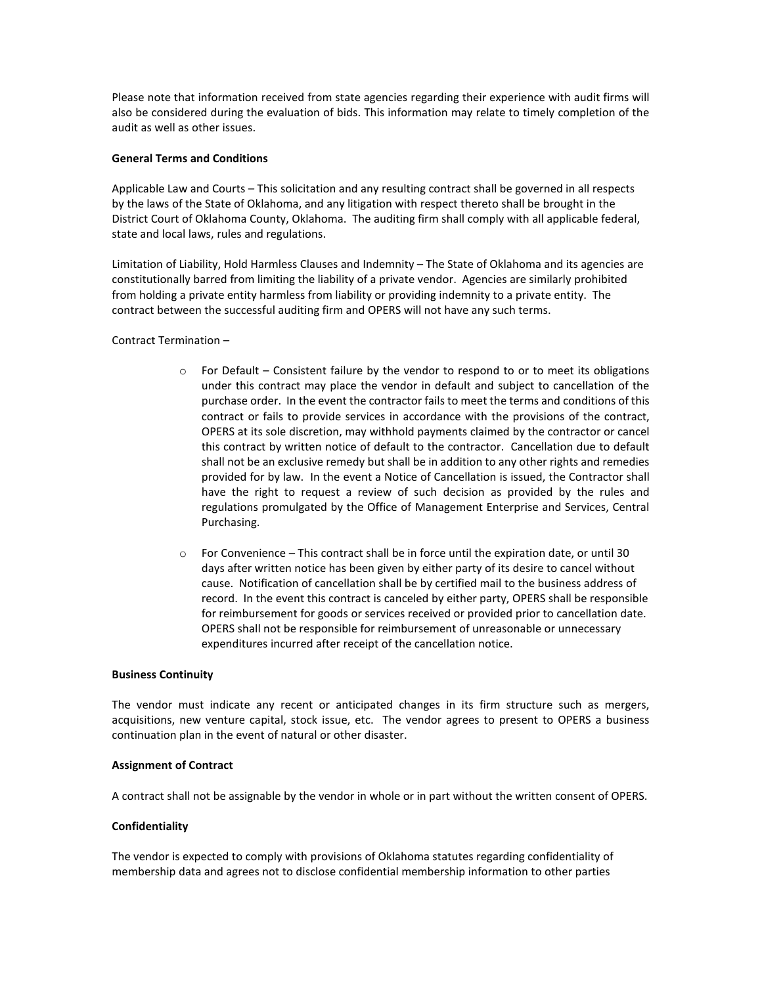Please note that information received from state agencies regarding their experience with audit firms will also be considered during the evaluation of bids. This information may relate to timely completion of the audit as well as other issues.

## **General Terms and Conditions**

Applicable Law and Courts – This solicitation and any resulting contract shall be governed in all respects by the laws of the State of Oklahoma, and any litigation with respect thereto shall be brought in the District Court of Oklahoma County, Oklahoma. The auditing firm shall comply with all applicable federal, state and local laws, rules and regulations.

Limitation of Liability, Hold Harmless Clauses and Indemnity – The State of Oklahoma and its agencies are constitutionally barred from limiting the liability of a private vendor. Agencies are similarly prohibited from holding a private entity harmless from liability or providing indemnity to a private entity. The contract between the successful auditing firm and OPERS will not have any such terms.

# Contract Termination –

- $\circ$  For Default Consistent failure by the vendor to respond to or to meet its obligations under this contract may place the vendor in default and subject to cancellation of the purchase order. In the event the contractor fails to meet the terms and conditions of this contract or fails to provide services in accordance with the provisions of the contract, OPERS at its sole discretion, may withhold payments claimed by the contractor or cancel this contract by written notice of default to the contractor. Cancellation due to default shall not be an exclusive remedy but shall be in addition to any other rights and remedies provided for by law. In the event a Notice of Cancellation is issued, the Contractor shall have the right to request a review of such decision as provided by the rules and regulations promulgated by the Office of Management Enterprise and Services, Central Purchasing.
- $\circ$  For Convenience This contract shall be in force until the expiration date, or until 30 days after written notice has been given by either party of its desire to cancel without cause. Notification of cancellation shall be by certified mail to the business address of record. In the event this contract is canceled by either party, OPERS shall be responsible for reimbursement for goods or services received or provided prior to cancellation date. OPERS shall not be responsible for reimbursement of unreasonable or unnecessary expenditures incurred after receipt of the cancellation notice.

## **Business Continuity**

The vendor must indicate any recent or anticipated changes in its firm structure such as mergers, acquisitions, new venture capital, stock issue, etc. The vendor agrees to present to OPERS a business continuation plan in the event of natural or other disaster.

## **Assignment of Contract**

A contract shall not be assignable by the vendor in whole or in part without the written consent of OPERS.

## **Confidentiality**

The vendor is expected to comply with provisions of Oklahoma statutes regarding confidentiality of membership data and agrees not to disclose confidential membership information to other parties